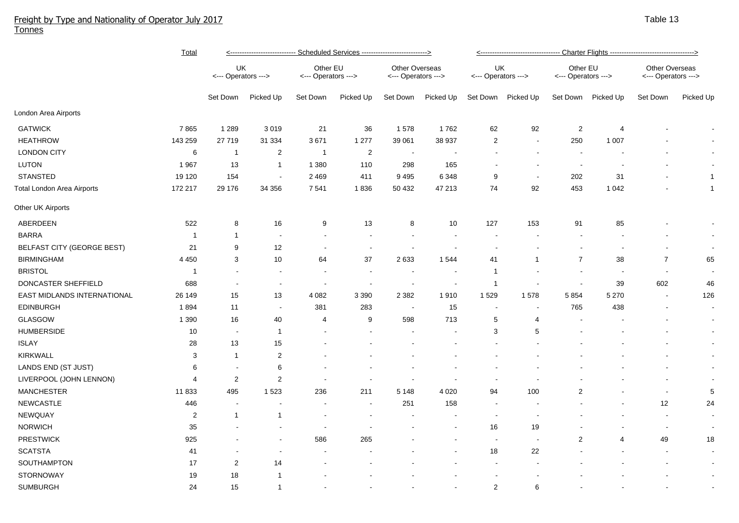## Freight by Type and Nationality of Operator July 2017 Tonnes

|                                   | <b>Total</b>   | <---------------------------- Scheduled Services ---------------------------> |                          |                                 |                |                                       |                | <u>&lt;---------------------------------- Charter Flights -----------------------------------&gt;</u> |                          |                                 |           |                                       |                |  |
|-----------------------------------|----------------|-------------------------------------------------------------------------------|--------------------------|---------------------------------|----------------|---------------------------------------|----------------|-------------------------------------------------------------------------------------------------------|--------------------------|---------------------------------|-----------|---------------------------------------|----------------|--|
|                                   |                | UK<br><--- Operators --->                                                     |                          | Other EU<br><--- Operators ---> |                | Other Overseas<br><--- Operators ---> |                | UK<br><--- Operators --->                                                                             |                          | Other EU<br><--- Operators ---> |           | Other Overseas<br><--- Operators ---> |                |  |
|                                   |                | Set Down                                                                      | Picked Up                | Set Down                        | Picked Up      | Set Down                              | Picked Up      | Set Down                                                                                              | Picked Up                | Set Down                        | Picked Up | Set Down                              | Picked Up      |  |
| London Area Airports              |                |                                                                               |                          |                                 |                |                                       |                |                                                                                                       |                          |                                 |           |                                       |                |  |
| <b>GATWICK</b>                    | 7865           | 1 2 8 9                                                                       | 3019                     | 21                              | 36             | 1578                                  | 1762           | 62                                                                                                    | 92                       | $\overline{2}$                  | 4         |                                       | $\sim$         |  |
| <b>HEATHROW</b>                   | 143 259        | 27719                                                                         | 31 334                   | 3671                            | 1 2 7 7        | 39 061                                | 38 937         | $\sqrt{2}$                                                                                            | $\blacksquare$           | 250                             | 1 0 0 7   |                                       |                |  |
| <b>LONDON CITY</b>                | 6              | $\overline{1}$                                                                | $\overline{2}$           | $\overline{1}$                  | $\overline{2}$ |                                       |                |                                                                                                       | $\blacksquare$           |                                 |           |                                       |                |  |
| <b>LUTON</b>                      | 1967           | 13                                                                            | $\mathbf{1}$             | 1 3 8 0                         | 110            | 298                                   | 165            | ۰.                                                                                                    | $\overline{\phantom{a}}$ | $\overline{\phantom{a}}$        |           |                                       | $\sim$         |  |
| <b>STANSTED</b>                   | 19 120         | 154                                                                           | $\sim$                   | 2 4 6 9                         | 411            | 9 4 9 5                               | 6 3 4 8        | 9                                                                                                     | $\sim$                   | 202                             | 31        |                                       | $\overline{1}$ |  |
| Total London Area Airports        | 172 217        | 29 176                                                                        | 34 356                   | 7 5 4 1                         | 1836           | 50 432                                | 47 213         | 74                                                                                                    | 92                       | 453                             | 1 0 4 2   |                                       | $\overline{1}$ |  |
| Other UK Airports                 |                |                                                                               |                          |                                 |                |                                       |                |                                                                                                       |                          |                                 |           |                                       |                |  |
| ABERDEEN                          | 522            | 8                                                                             | 16                       | 9                               | 13             | 8                                     | 10             | 127                                                                                                   | 153                      | 91                              | 85        |                                       |                |  |
| <b>BARRA</b>                      | $\mathbf{1}$   | $\mathbf{1}$                                                                  |                          |                                 |                |                                       |                |                                                                                                       |                          |                                 |           |                                       | $\sim$         |  |
| <b>BELFAST CITY (GEORGE BEST)</b> | 21             | 9                                                                             | 12                       |                                 |                |                                       |                |                                                                                                       |                          |                                 |           |                                       | $\sim$         |  |
| <b>BIRMINGHAM</b>                 | 4 4 5 0        | 3                                                                             | 10                       | 64                              | 37             | 2 6 3 3                               | 1544           | 41                                                                                                    | 1                        | $\overline{7}$                  | 38        | $\overline{7}$                        | 65             |  |
| <b>BRISTOL</b>                    | $\mathbf{1}$   |                                                                               |                          | $\blacksquare$                  |                |                                       |                | -1                                                                                                    |                          | $\blacksquare$                  | ÷,        | $\overline{\phantom{a}}$              |                |  |
| DONCASTER SHEFFIELD               | 688            |                                                                               | $\overline{\phantom{a}}$ | $\overline{\phantom{a}}$        |                |                                       | $\blacksquare$ | $\mathbf{1}$                                                                                          |                          | $\overline{\phantom{a}}$        | 39        | 602                                   | 46             |  |
| EAST MIDLANDS INTERNATIONAL       | 26 149         | 15                                                                            | 13                       | 4 0 8 2                         | 3 3 9 0        | 2 3 8 2                               | 1910           | 1529                                                                                                  | 1578                     | 5854                            | 5 2 7 0   | $\overline{\phantom{a}}$              | 126            |  |
| <b>EDINBURGH</b>                  | 1894           | 11                                                                            | $\overline{\phantom{a}}$ | 381                             | 283            |                                       | 15             | $\overline{\phantom{a}}$                                                                              |                          | 765                             | 438       |                                       | $\sim$         |  |
| GLASGOW                           | 1 3 9 0        | 16                                                                            | 40                       | $\overline{4}$                  | 9              | 598                                   | 713            | 5                                                                                                     | 4                        |                                 |           |                                       | $\sim$         |  |
| <b>HUMBERSIDE</b>                 | 10             | $\sim$                                                                        | $\mathbf{1}$             | ÷                               |                |                                       |                | 3                                                                                                     | 5                        |                                 |           |                                       | $\sim$         |  |
| <b>ISLAY</b>                      | 28             | 13                                                                            | 15                       |                                 |                |                                       |                |                                                                                                       |                          |                                 |           |                                       | $\sim$         |  |
| KIRKWALL                          | 3              | $\mathbf{1}$                                                                  | $\overline{2}$           |                                 |                |                                       |                |                                                                                                       |                          |                                 |           |                                       | $\sim$         |  |
| LANDS END (ST JUST)               | 6              |                                                                               | 6                        |                                 |                |                                       |                |                                                                                                       |                          |                                 |           |                                       | $\sim$         |  |
| LIVERPOOL (JOHN LENNON)           | 4              | $\boldsymbol{2}$                                                              | $\overline{2}$           |                                 |                |                                       |                |                                                                                                       |                          |                                 |           |                                       | $\sim$         |  |
| <b>MANCHESTER</b>                 | 11 833         | 495                                                                           | 1 5 2 3                  | 236                             | 211            | 5 1 4 8                               | 4 0 20         | 94                                                                                                    | 100                      | $\overline{2}$                  |           | $\sim$                                | $\,$ 5 $\,$    |  |
| <b>NEWCASTLE</b>                  | 446            |                                                                               | $\overline{\phantom{a}}$ |                                 |                | 251                                   | 158            | $\sim$                                                                                                |                          |                                 |           | 12                                    | 24             |  |
| NEWQUAY                           | $\overline{2}$ | $\mathbf{1}$                                                                  | $\mathbf{1}$             |                                 |                |                                       |                | $\sim$                                                                                                | $\overline{\phantom{a}}$ |                                 |           |                                       | $\sim$         |  |
| <b>NORWICH</b>                    | 35             |                                                                               |                          |                                 |                |                                       |                | 16                                                                                                    | 19                       |                                 |           | $\overline{\phantom{a}}$              | $\sim$         |  |
| <b>PRESTWICK</b>                  | 925            |                                                                               | $\overline{\phantom{a}}$ | 586                             | 265            |                                       |                | $\overline{\phantom{a}}$                                                                              | $\sim$                   | $\overline{c}$                  | 4         | 49                                    | 18             |  |
| <b>SCATSTA</b>                    | 41             |                                                                               |                          |                                 |                |                                       |                | 18                                                                                                    | 22                       |                                 |           |                                       | $\sim$         |  |
| SOUTHAMPTON                       | 17             | $\overline{c}$                                                                | 14                       |                                 |                |                                       |                |                                                                                                       |                          |                                 |           |                                       | $\sim$         |  |
| <b>STORNOWAY</b>                  | 19             | 18                                                                            | -1                       |                                 |                |                                       |                |                                                                                                       |                          |                                 |           |                                       | $\sim$         |  |
| <b>SUMBURGH</b>                   | 24             | 15                                                                            | $\mathbf{1}$             |                                 |                |                                       |                | $\overline{2}$                                                                                        | 6                        |                                 |           |                                       |                |  |